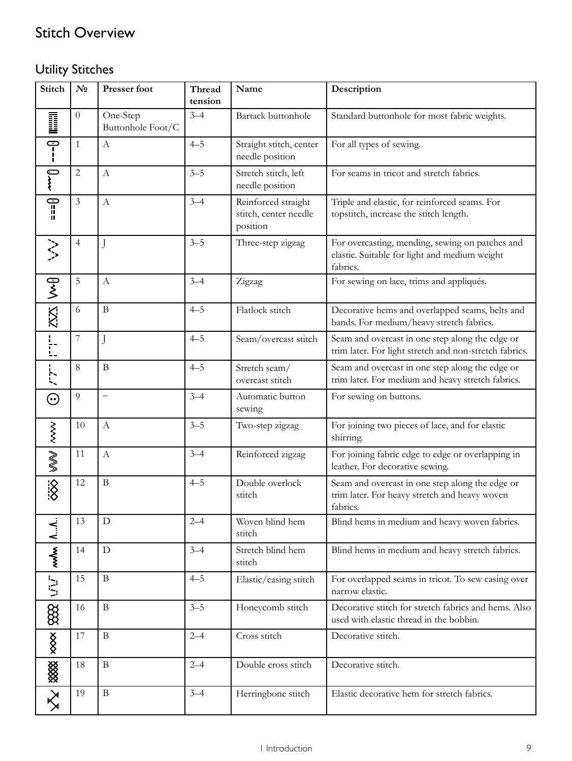## Stitch Overview

## Utility Stitches

| Stitch                       | $N_2$          | <b>Presser foot</b>           | Thread<br>tension | Name                                                     | Description                                                                                                  |
|------------------------------|----------------|-------------------------------|-------------------|----------------------------------------------------------|--------------------------------------------------------------------------------------------------------------|
| D                            | $\overline{0}$ | One-Step<br>Buttonhole Foot/C | $3 - 4$           | Bartack buttonhole                                       | Standard buttonhole for most fabric weights.                                                                 |
| ှ<br>၂                       | $\mathbf{1}$   | $\mathbf{A}$                  | $4 - 5$           | Straight stitch, center<br>needle position               | For all types of sewing.                                                                                     |
| ź                            | $\mathbf{2}$   | $\mathbf{A}$                  | $3 - 5$           | Stretch stitch, left<br>needle position                  | For seams in tricot and stretch fabrics.                                                                     |
| $= -0$                       | $\mathfrak{Z}$ | $\mathbf{A}$                  | $3 - 4$           | Reinforced straight<br>stitch, center needle<br>position | Triple and elastic, for reinforced seams. For<br>topstitch, increase the stitch length.                      |
| $\left\langle \right\rangle$ | $\overline{4}$ | J                             | $3 - 5$           | Three-step zigzag                                        | For overcasting, mending, sewing on patches and<br>elastic. Suitable for light and medium weight<br>fabrics. |
|                              | 5              | $\boldsymbol{A}$              | $3 - 4$           | Zigzag                                                   | For sewing on lace, trims and appliqués.                                                                     |
| $200$ $\sqrt{225}$           | 6              | $\mathbf B$                   | $4 - 5$           | Flatlock stitch                                          | Decorative hems and overlapped seams, belts and<br>bands. For medium/heavy stretch fabrics.                  |
| I.<br>I.                     | $\overline{7}$ | J                             | $4 - 5$           | Seam/overcast stitch                                     | Seam and overcast in one step along the edge or<br>trim later. For light stretch and non-stretch fabrics.    |
| י־יִך־י                      | 8              | $\mathbf B$                   | $4 - 5$           | Stretch seam/<br>overcast stitch                         | Seam and overcast in one step along the edge or<br>trim later. For medium and heavy stretch fabrics.         |
| $\odot$                      | 9              | $\overline{\phantom{0}}$      | $3 - 4$           | Automatic button<br>sewing                               | For sewing on buttons.                                                                                       |
|                              | 10             | $\mathbf{A}$                  | $3 - 5$           | Two-step zigzag                                          | For joining two pieces of lace, and for elastic<br>shirring.                                                 |
| <b>WWW</b> www               | 11             | $\mathbf{A}$                  | $3 - 4$           | Reinforced zigzag                                        | For joining fabric edge to edge or overlapping in<br>leather. For decorative sewing.                         |
| $\overline{\ddot{\otimes}}$  | 12             | $\, {\bf B}$                  | $4 - 5$           | Double overlock<br>stitch                                | Seam and overcast in one step along the edge or<br>trim later. For heavy stretch and heavy woven<br>fabrics. |
| $\overline{A}$ .             | 13             | $\mathbf D$                   | $2 - 4$           | Woven blind hem<br>stitch                                | Blind hems in medium and heavy woven fabrics.                                                                |
| $\sim$                       | 14             | ${\rm D}$                     | $3 - 4$           | Stretch blind hem<br>stitch                              | Blind hems in medium and heavy stretch fabrics.                                                              |
| $\overline{M}$               | 15             | $\mathbf B$                   | $4 - 5$           | Elastic/casing stitch                                    | For overlapped seams in tricot. To sew casing over<br>narrow elastic.                                        |
| 888                          | 16             | $\mathbf{B}$                  | $3 - 5$           | Honeycomb stitch                                         | Decorative stitch for stretch fabrics and hems. Also<br>used with elastic thread in the bobbin.              |
| $rac{8}{2}$                  | 17             | $\, {\bf B}$                  | $2 - 4$           | Cross stitch                                             | Decorative stitch.                                                                                           |
| ▒                            | 18             | $\, {\bf B}$                  | $2 - 4$           | Double cross stitch                                      | Decorative stitch.                                                                                           |
| $\gtrapprox$                 | 19             | $\, {\bf B}$                  | $3 - 4$           | Herringbone stitch                                       | Elastic decorative hem for stretch fabrics.                                                                  |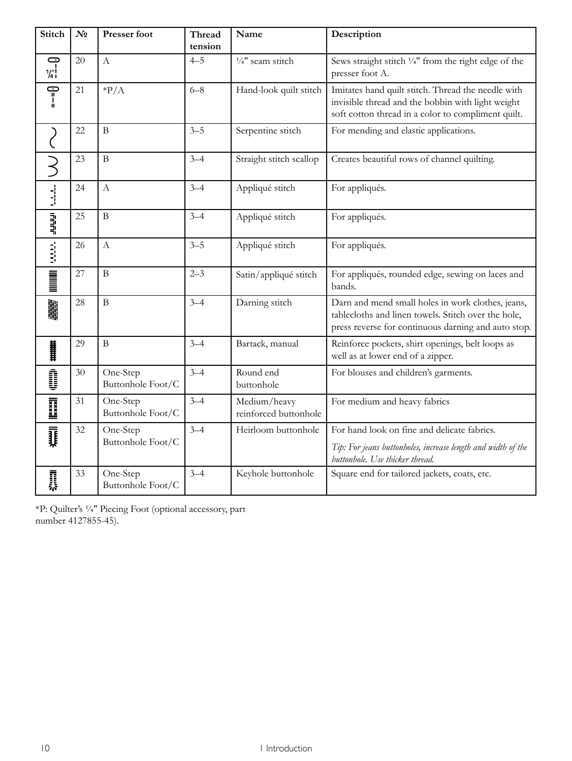| <b>Stitch</b>                                                                            | N <sub>2</sub> | <b>Presser foot</b>           | Thread<br>tension | Name                                  | Description                                                                                                                                                     |
|------------------------------------------------------------------------------------------|----------------|-------------------------------|-------------------|---------------------------------------|-----------------------------------------------------------------------------------------------------------------------------------------------------------------|
| c<br>$\frac{1}{4}$                                                                       | 20             | $\boldsymbol{A}$              | $4 - 5$           | $\frac{1}{4}$ " seam stitch           | Sews straight stitch 1/4" from the right edge of the<br>presser foot A.                                                                                         |
|                                                                                          | 21             | $*P/A$                        | $6 - 8$           | Hand-look quilt stitch                | Imitates hand quilt stitch. Thread the needle with<br>invisible thread and the bobbin with light weight<br>soft cotton thread in a color to compliment quilt.   |
|                                                                                          | 22             | $\, {\bf B}$                  | $3 - 5$           | Serpentine stitch                     | For mending and elastic applications.                                                                                                                           |
|                                                                                          | 23             | $\overline{B}$                | $3 - 4$           | Straight stitch scallop               | Creates beautiful rows of channel quilting.                                                                                                                     |
| $\frac{1}{2}$                                                                            | 24             | А                             | $3 - 4$           | Appliqué stitch                       | For appliqués.                                                                                                                                                  |
| $\frac{3}{4}$                                                                            | 25             | $\, {\bf B}$                  | $3 - 4$           | Appliqué stitch                       | For appliqués.                                                                                                                                                  |
|                                                                                          | 26             | $\mathbf{A}$                  | $3 - 5$           | Appliqué stitch                       | For appliqués.                                                                                                                                                  |
| <b>Monday</b>                                                                            | 27             | $\, {\bf B}$                  | $2 - 3$           | Satin/appliqué stitch                 | For appliqués, rounded edge, sewing on laces and<br>bands.                                                                                                      |
| 鷳                                                                                        | 28             | $\, {\bf B}$                  | $3 - 4$           | Darning stitch                        | Darn and mend small holes in work clothes, jeans,<br>tablecloths and linen towels. Stitch over the hole,<br>press reverse for continuous darning and auto stop. |
| <br> <br> <br>                                                                           | 29             | $\, {\bf B}$                  | $3 - 4$           | Bartack, manual                       | Reinforce pockets, shirt openings, belt loops as<br>well as at lower end of a zipper.                                                                           |
| Î                                                                                        | 30             | One-Step<br>Buttonhole Foot/C | $3 - 4$           | Round end<br>buttonhole               | For blouses and children's garments.                                                                                                                            |
| $\begin{array}{c} \begin{array}{c} \text{maxx1} \\ \text{maxx2} \end{array} \end{array}$ | 31             | One-Step<br>Buttonhole Foot/C | $3 - 4$           | Medium/heavy<br>reinforced buttonhole | For medium and heavy fabrics                                                                                                                                    |
| Į                                                                                        | 32             | One-Step<br>Buttonhole Foot/C | $3 - 4$           | Heirloom buttonhole                   | For hand look on fine and delicate fabrics.<br>Tip: For jeans buttonholes, increase length and width of the<br>buttonhole. Use thicker thread.                  |
| 贔                                                                                        | 33             | One-Step<br>Buttonhole Foot/C | $3 - 4$           | Keyhole buttonhole                    | Square end for tailored jackets, coats, etc.                                                                                                                    |

\*P: Quilter's ¼″ Piecing Foot (optional accessory, part number 4127855-45).